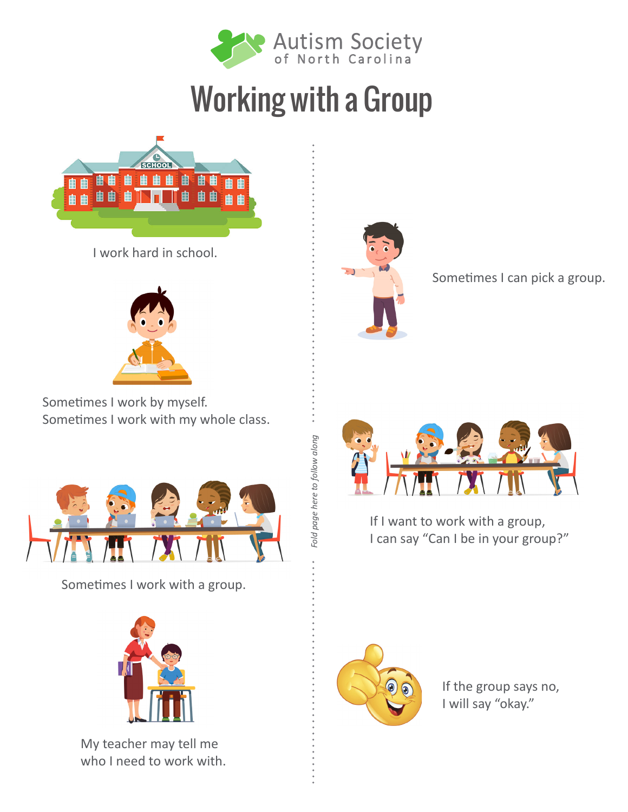

## Working with a Group

*Fold page here to follow along*

Fold page here to follow along



I work hard in school.



Sometimes I work by myself. Sometimes I work with my whole class.



Sometimes I work with a group.



My teacher may tell me who I need to work with.



Sometimes I can pick a group.



If I want to work with a group, I can say "Can I be in your group?"



If the group says no, I will say "okay."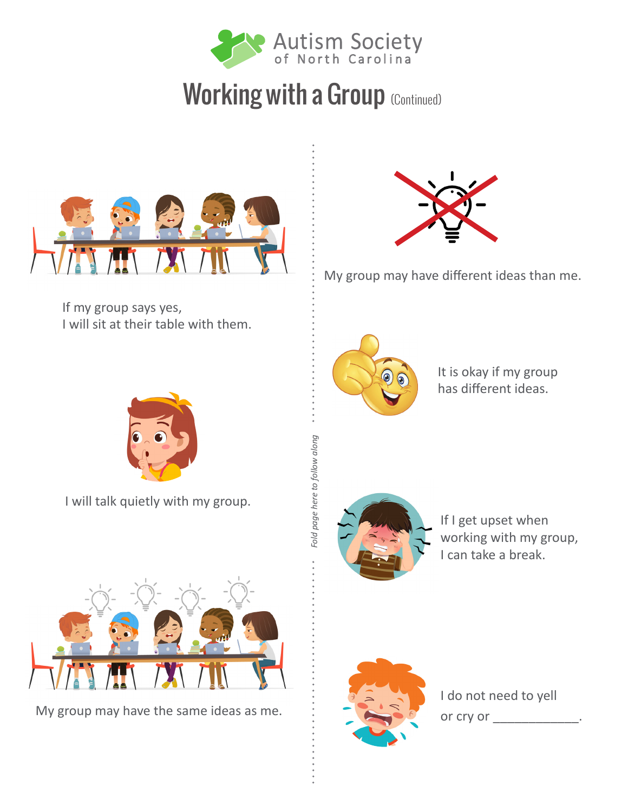

## Working with a Group (Continued)



If my group says yes, I will sit at their table with them.



My group may have different ideas than me.



It is okay if my group has different ideas.



I will talk quietly with my group.



My group may have the same ideas as me.



*Fold page here to follow along*

Fold page here to follow along

If I get upset when working with my group, I can take a break.



I do not need to yell or cry or \_\_\_\_\_\_\_\_\_\_\_\_\_\_.